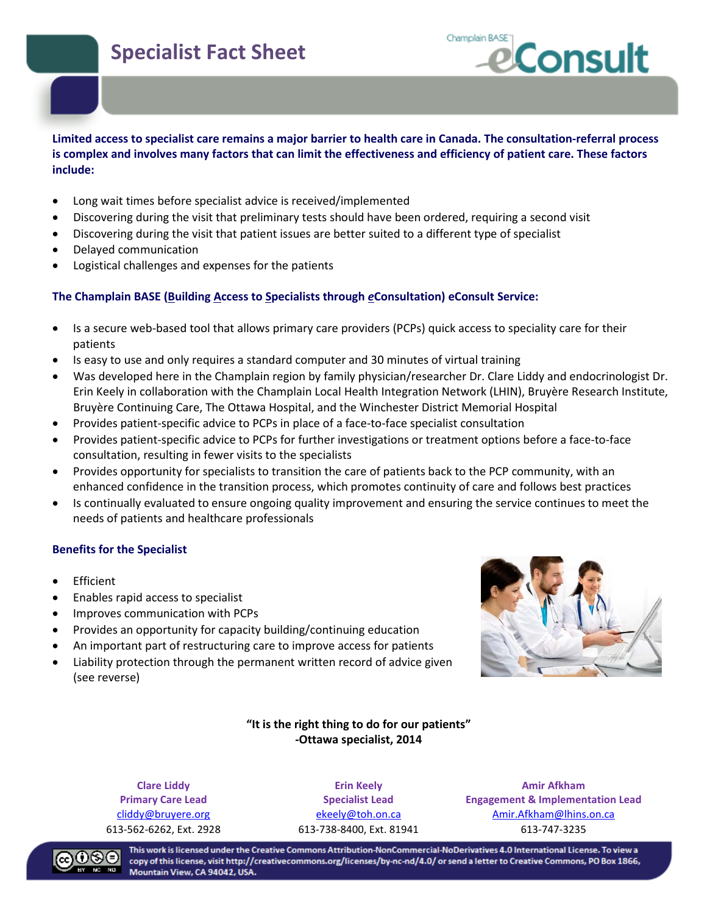## **Specialist Fact Sheet**



#### **Limited access to specialist care remains a major barrier to health care in Canada. The consultation-referral process is complex and involves many factors that can limit the effectiveness and efficiency of patient care. These factors include:**

- Long wait times before specialist advice is received/implemented
- Discovering during the visit that preliminary tests should have been ordered, requiring a second visit
- Discovering during the visit that patient issues are better suited to a different type of specialist
- Delayed communication
- Logistical challenges and expenses for the patients

#### **The Champlain BASE (Building Access to Specialists through** *e***Consultation) eConsult Service:**

- Is a secure web-based tool that allows primary care providers (PCPs) quick access to speciality care for their patients
- Is easy to use and only requires a standard computer and 30 minutes of virtual training
- Was developed here in the Champlain region by family physician/researcher Dr. Clare Liddy and endocrinologist Dr. Erin Keely in collaboration with the Champlain Local Health Integration Network (LHIN), Bruyère Research Institute, Bruyère Continuing Care, The Ottawa Hospital, and the Winchester District Memorial Hospital
- Provides patient-specific advice to PCPs in place of a face-to-face specialist consultation
- Provides patient-specific advice to PCPs for further investigations or treatment options before a face-to-face consultation, resulting in fewer visits to the specialists
- Provides opportunity for specialists to transition the care of patients back to the PCP community, with an enhanced confidence in the transition process, which promotes continuity of care and follows best practices
- Is continually evaluated to ensure ongoing quality improvement and ensuring the service continues to meet the needs of patients and healthcare professionals

#### **Benefits for the Specialist**

- Efficient
- Enables rapid access to specialist
- Improves communication with PCPs
- Provides an opportunity for capacity building/continuing education
- An important part of restructuring care to improve access for patients
- Liability protection through the permanent written record of advice given (see reverse)



#### **"It is the right thing to do for our patients" -Ottawa specialist, 2014**

**Clare Liddy Primary Care Lead** 

**Erin Keely Specialist Lead** 

**Amir Afkham Engagement & Implementation Lead**  cliddy@bruyere.org ekeely@toh.on.ca Amir.Afkham@lhins.on.ca 613-562-6262, Ext. 2928 613-738-8400, Ext. 81941 613-747-3235



This work is licensed under the Creative Commons Attribution-NonCommercial-NoDerivatives 4.0 International License. To view a copy of this license, visit http://creativecommons.org/licenses/by-nc-nd/4.0/ or send a letter to Creative Commons, PO Box 1866, Mountain View, CA 94042, USA.